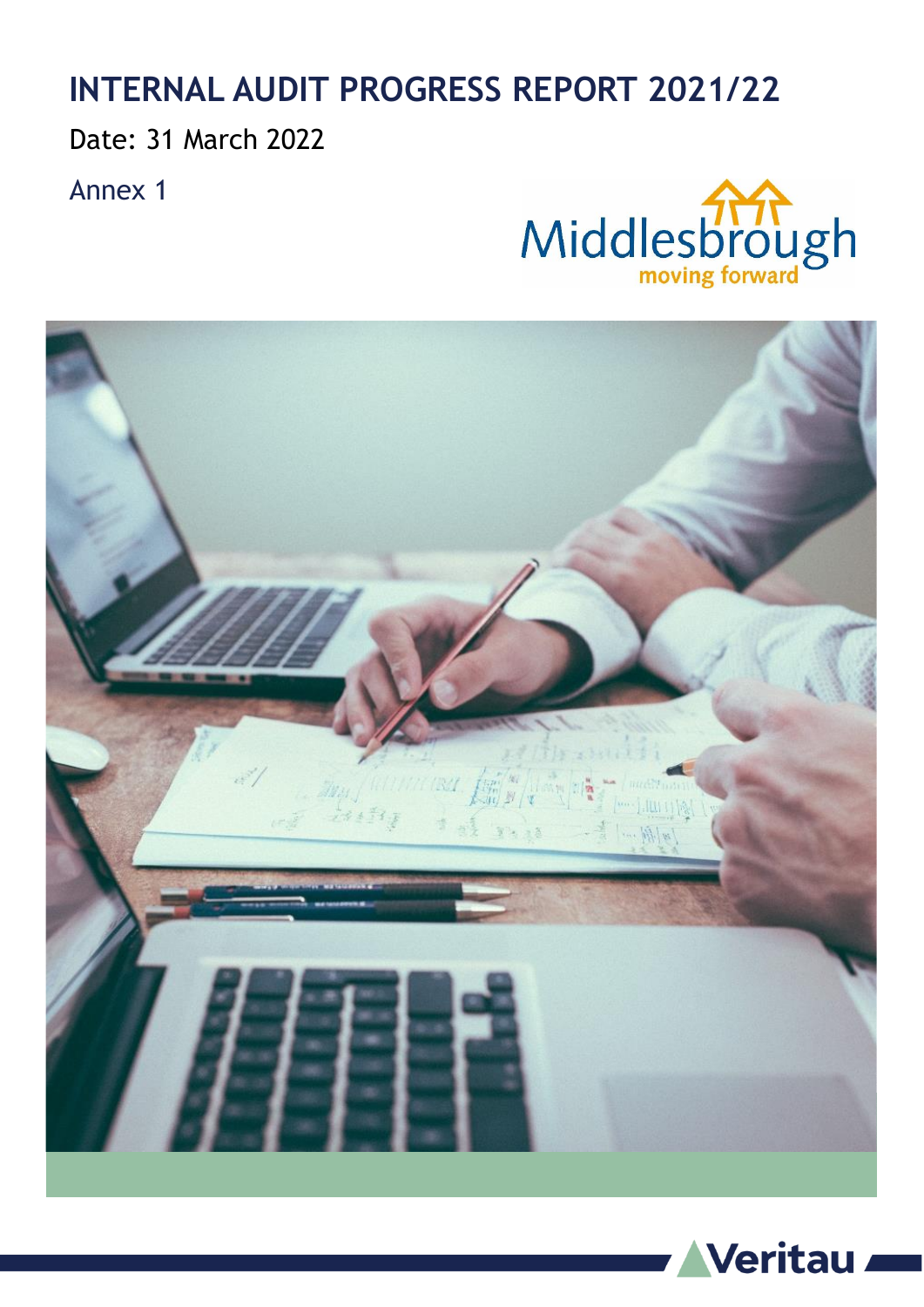## **INTERNAL AUDIT PROGRESS REPORT 2021/22**

Date: 31 March 2022

Annex 1





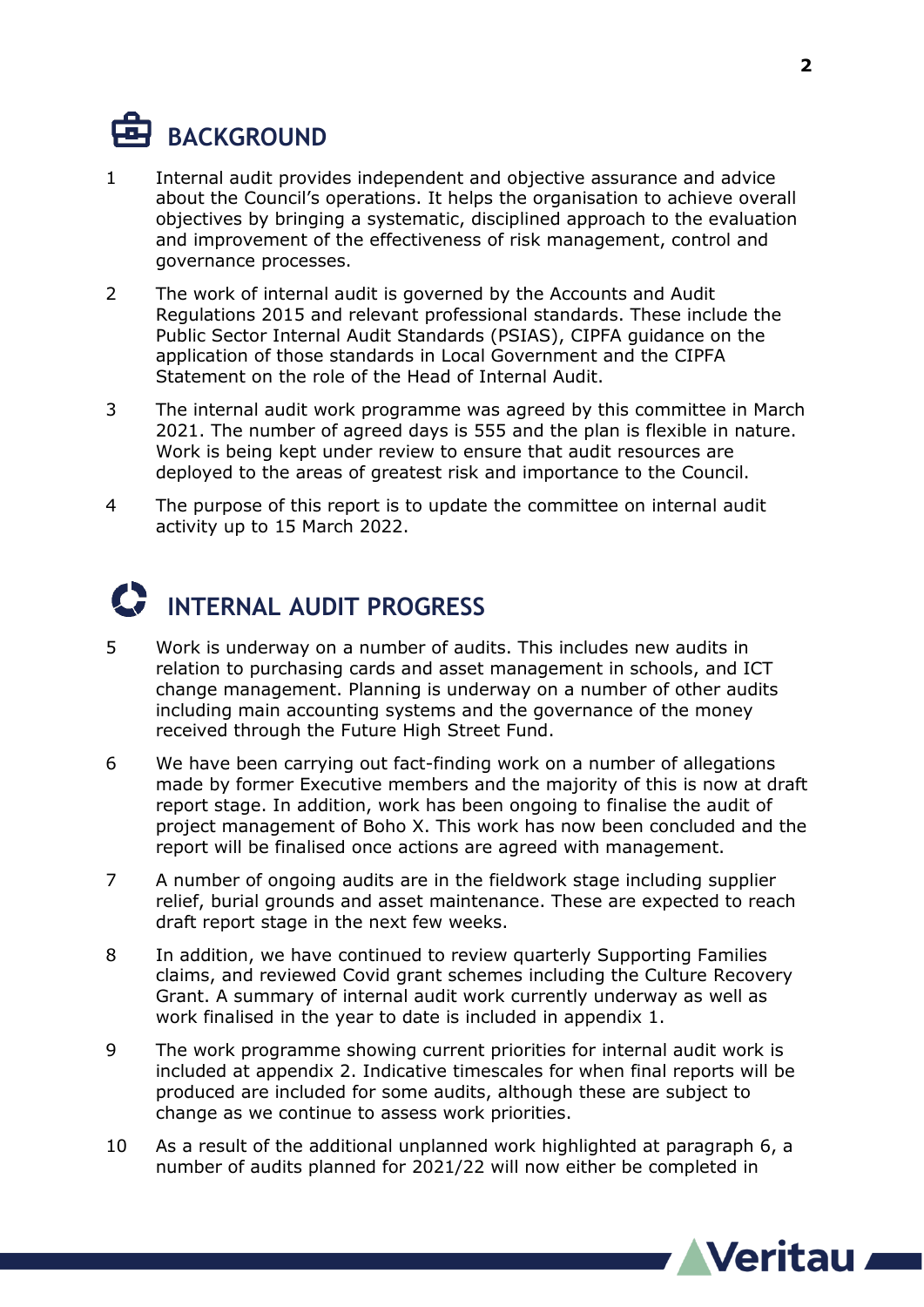# **BACKGROUND**

- 1 Internal audit provides independent and objective assurance and advice about the Council's operations. It helps the organisation to achieve overall objectives by bringing a systematic, disciplined approach to the evaluation and improvement of the effectiveness of risk management, control and governance processes.
- 2 The work of internal audit is governed by the Accounts and Audit Regulations 2015 and relevant professional standards. These include the Public Sector Internal Audit Standards (PSIAS), CIPFA guidance on the application of those standards in Local Government and the CIPFA Statement on the role of the Head of Internal Audit.
- 3 The internal audit work programme was agreed by this committee in March 2021. The number of agreed days is 555 and the plan is flexible in nature. Work is being kept under review to ensure that audit resources are deployed to the areas of greatest risk and importance to the Council.
- 4 The purpose of this report is to update the committee on internal audit activity up to 15 March 2022.

# **INTERNAL AUDIT PROGRESS**

- 5 Work is underway on a number of audits. This includes new audits in relation to purchasing cards and asset management in schools, and ICT change management. Planning is underway on a number of other audits including main accounting systems and the governance of the money received through the Future High Street Fund.
- 6 We have been carrying out fact-finding work on a number of allegations made by former Executive members and the majority of this is now at draft report stage. In addition, work has been ongoing to finalise the audit of project management of Boho X. This work has now been concluded and the report will be finalised once actions are agreed with management.
- 7 A number of ongoing audits are in the fieldwork stage including supplier relief, burial grounds and asset maintenance. These are expected to reach draft report stage in the next few weeks.
- 8 In addition, we have continued to review quarterly Supporting Families claims, and reviewed Covid grant schemes including the Culture Recovery Grant. A summary of internal audit work currently underway as well as work finalised in the year to date is included in appendix 1.
- 9 The work programme showing current priorities for internal audit work is included at appendix 2. Indicative timescales for when final reports will be produced are included for some audits, although these are subject to change as we continue to assess work priorities.
- 10 As a result of the additional unplanned work highlighted at paragraph 6, a number of audits planned for 2021/22 will now either be completed in

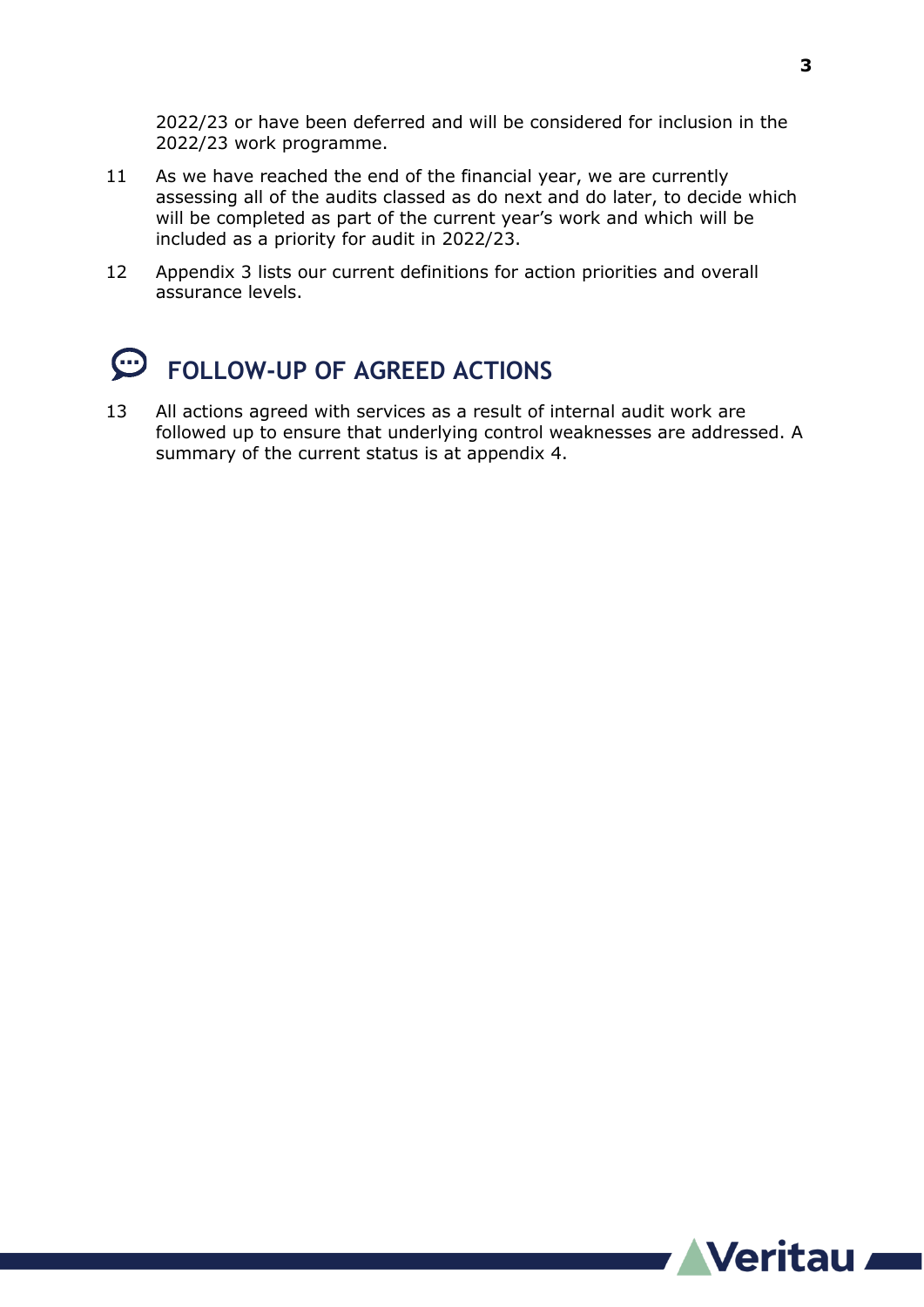2022/23 or have been deferred and will be considered for inclusion in the 2022/23 work programme.

- 11 As we have reached the end of the financial year, we are currently assessing all of the audits classed as do next and do later, to decide which will be completed as part of the current year's work and which will be included as a priority for audit in 2022/23.
- 12 Appendix 3 lists our current definitions for action priorities and overall assurance levels.

## **FOLLOW-UP OF AGREED ACTIONS**

13 All actions agreed with services as a result of internal audit work are followed up to ensure that underlying control weaknesses are addressed. A summary of the current status is at appendix 4.

**3**

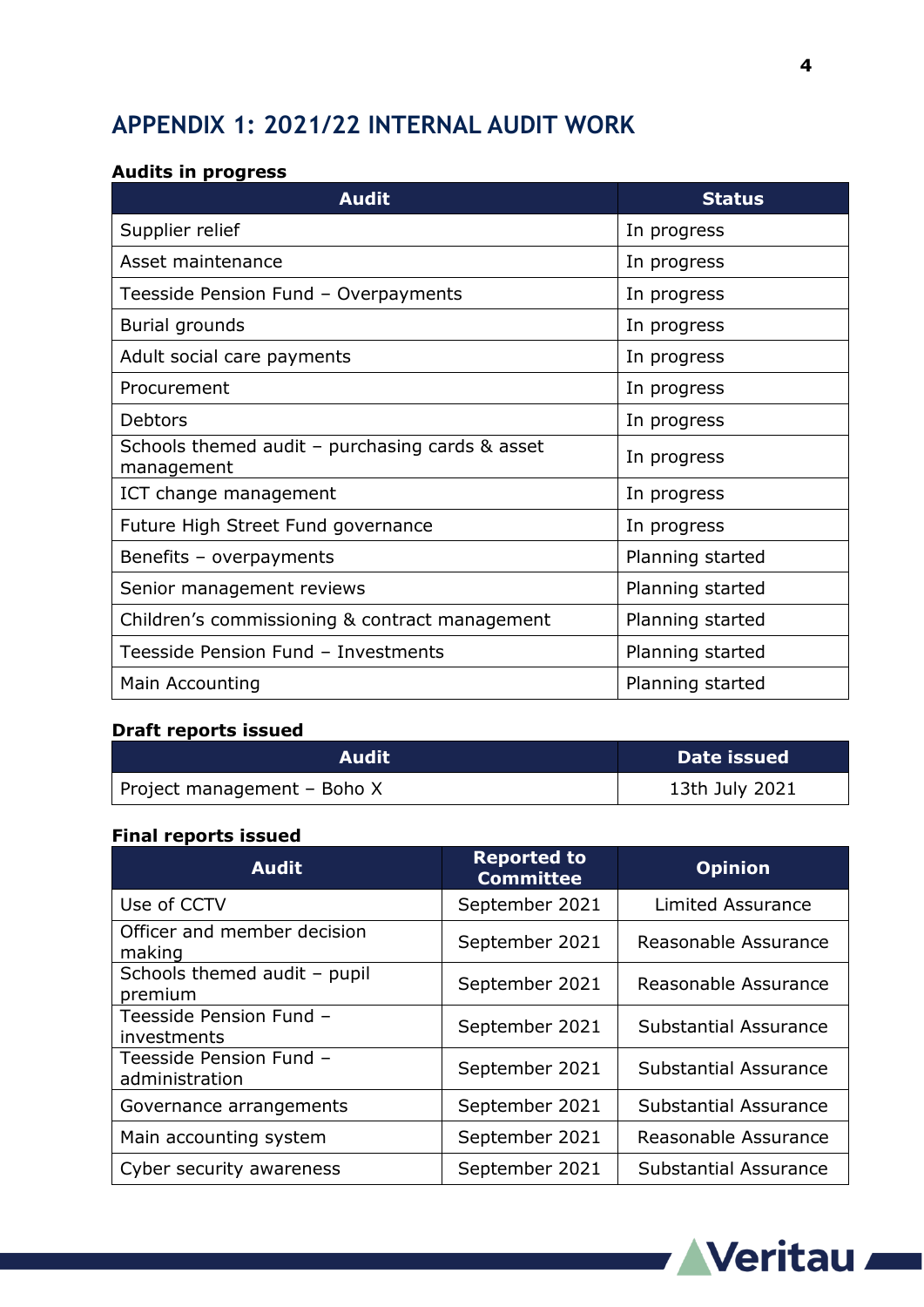## **APPENDIX 1: 2021/22 INTERNAL AUDIT WORK**

#### **Audits in progress**

| <b>Audit</b>                                                    | <b>Status</b>    |
|-----------------------------------------------------------------|------------------|
| Supplier relief                                                 | In progress      |
| Asset maintenance                                               | In progress      |
| Teesside Pension Fund - Overpayments                            | In progress      |
| Burial grounds                                                  | In progress      |
| Adult social care payments                                      | In progress      |
| Procurement                                                     | In progress      |
| <b>Debtors</b>                                                  | In progress      |
| Schools themed audit $-$ purchasing cards & asset<br>management | In progress      |
| ICT change management                                           | In progress      |
| Future High Street Fund governance                              | In progress      |
| Benefits - overpayments                                         | Planning started |
| Senior management reviews                                       | Planning started |
| Children's commissioning & contract management                  | Planning started |
| Teesside Pension Fund - Investments                             | Planning started |
| Main Accounting                                                 | Planning started |

### **Draft reports issued**

| <b>Audit</b>                | Date issued    |
|-----------------------------|----------------|
| Project management - Boho X | 13th July 2021 |

#### **Final reports issued**

| <b>Audit</b>                              | <b>Reported to</b><br><b>Committee</b> | <b>Opinion</b>               |
|-------------------------------------------|----------------------------------------|------------------------------|
| Use of CCTV                               | September 2021                         | <b>Limited Assurance</b>     |
| Officer and member decision<br>making     | September 2021                         | Reasonable Assurance         |
| Schools themed audit - pupil<br>premium   | September 2021                         | Reasonable Assurance         |
| Teesside Pension Fund -<br>investments    | September 2021                         | <b>Substantial Assurance</b> |
| Teesside Pension Fund -<br>administration | September 2021                         | <b>Substantial Assurance</b> |
| Governance arrangements                   | September 2021                         | <b>Substantial Assurance</b> |
| Main accounting system                    | September 2021                         | Reasonable Assurance         |
| Cyber security awareness                  | September 2021                         | Substantial Assurance        |



**4**

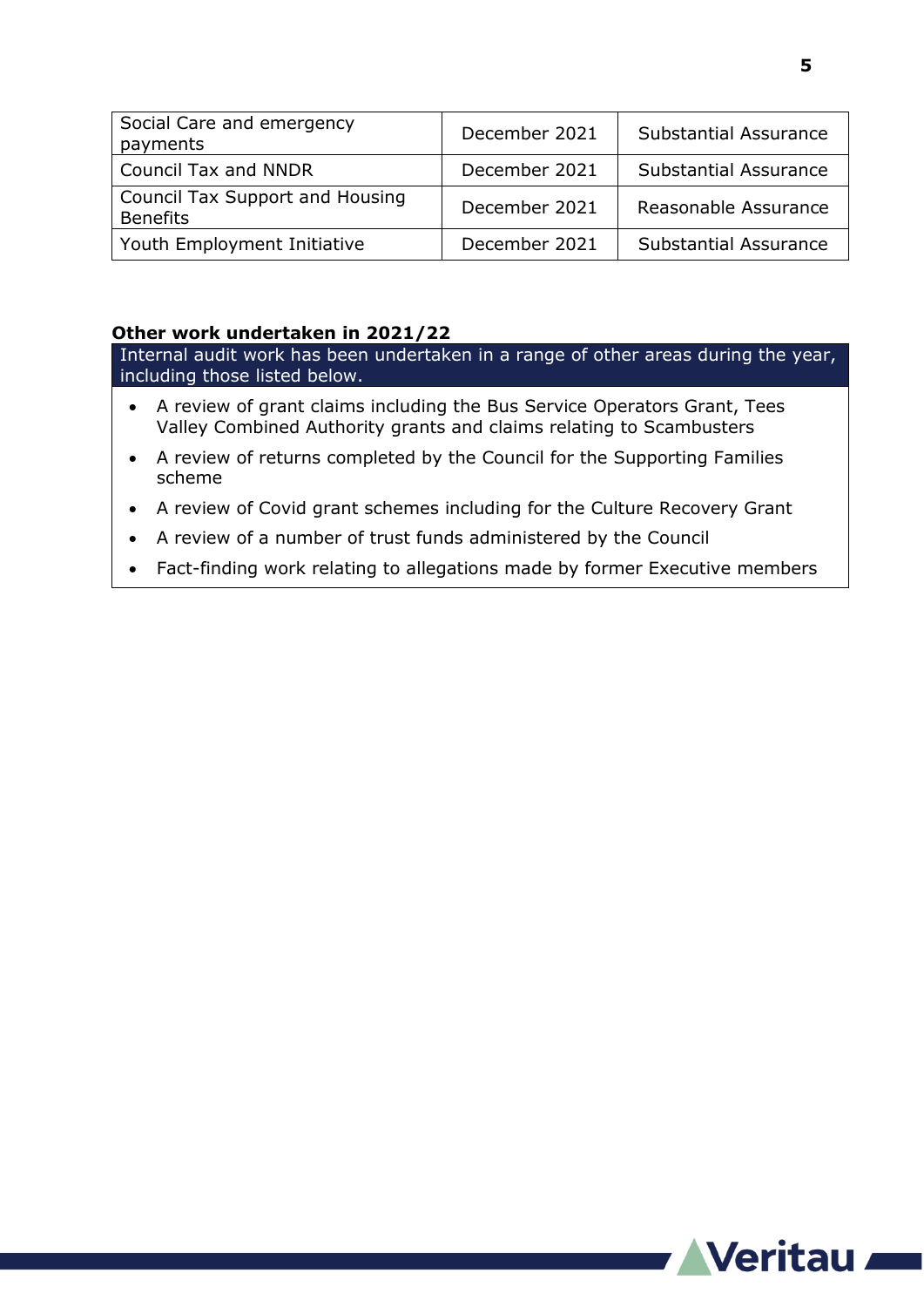| Social Care and emergency<br>payments                     | December 2021 | <b>Substantial Assurance</b> |
|-----------------------------------------------------------|---------------|------------------------------|
| <b>Council Tax and NNDR</b>                               | December 2021 | <b>Substantial Assurance</b> |
| <b>Council Tax Support and Housing</b><br><b>Benefits</b> | December 2021 | Reasonable Assurance         |
| Youth Employment Initiative                               | December 2021 | <b>Substantial Assurance</b> |

#### **Other work undertaken in 2021/22**

Internal audit work has been undertaken in a range of other areas during the year, including those listed below.

- A review of grant claims including the Bus Service Operators Grant, Tees Valley Combined Authority grants and claims relating to Scambusters
- A review of returns completed by the Council for the Supporting Families scheme
- A review of Covid grant schemes including for the Culture Recovery Grant
- A review of a number of trust funds administered by the Council
- Fact-finding work relating to allegations made by former Executive members

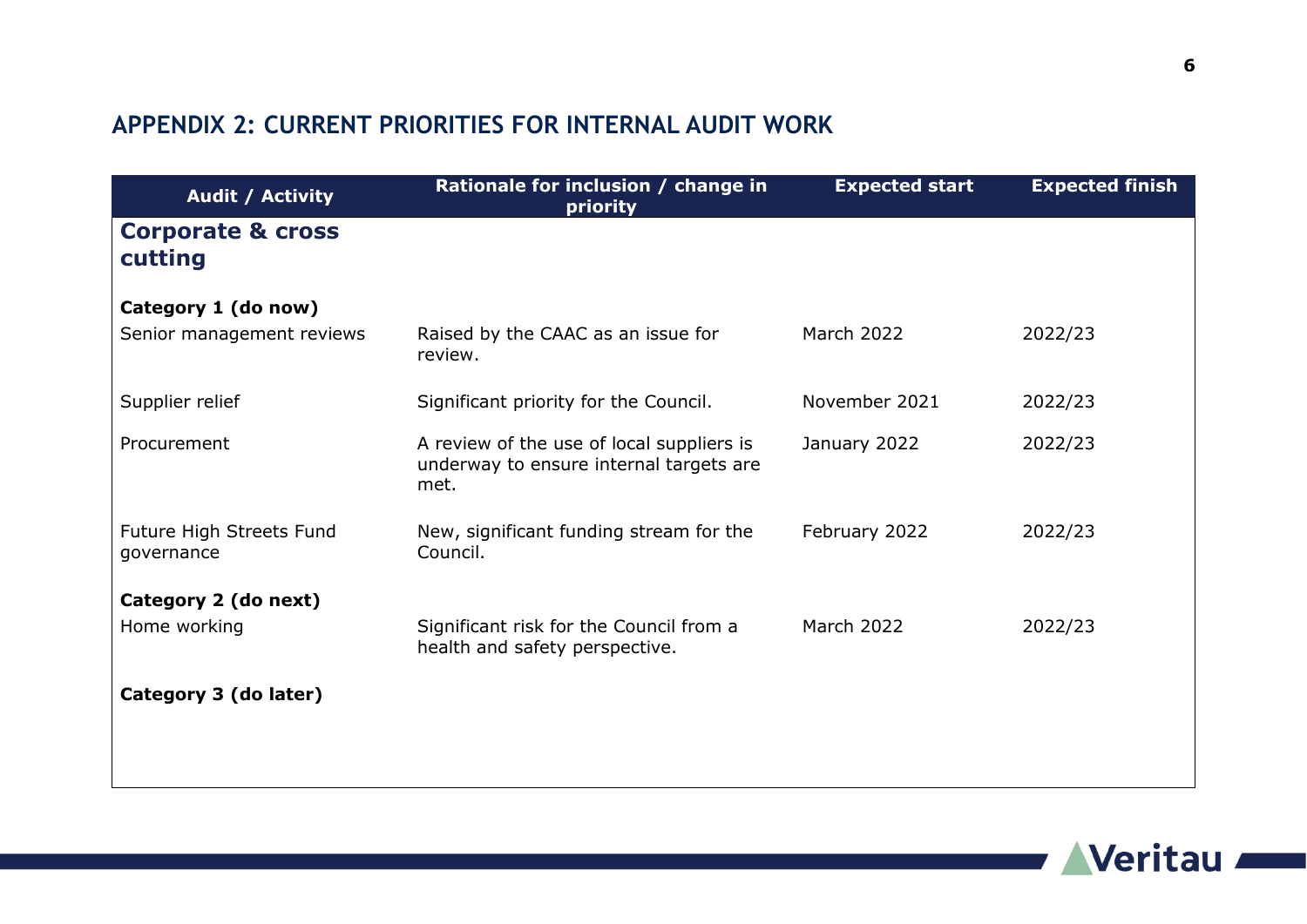## **APPENDIX 2: CURRENT PRIORITIES FOR INTERNAL AUDIT WORK**

| <b>Expected start</b><br><b>Expected finish</b><br>priority | Rationale for inclusion / change in                                                          | <b>Audit / Activity</b>                 |
|-------------------------------------------------------------|----------------------------------------------------------------------------------------------|-----------------------------------------|
|                                                             |                                                                                              | <b>Corporate &amp; cross</b><br>cutting |
|                                                             |                                                                                              | Category 1 (do now)                     |
| March 2022<br>2022/23                                       | Raised by the CAAC as an issue for<br>review.                                                | Senior management reviews               |
| November 2021<br>2022/23                                    | Significant priority for the Council.                                                        | Supplier relief                         |
| January 2022<br>2022/23                                     | A review of the use of local suppliers is<br>underway to ensure internal targets are<br>met. | Procurement                             |
| February 2022<br>2022/23                                    | New, significant funding stream for the<br>Council.                                          | Future High Streets Fund<br>governance  |
|                                                             |                                                                                              | Category 2 (do next)                    |
| <b>March 2022</b><br>2022/23                                | Significant risk for the Council from a<br>health and safety perspective.                    | Home working                            |
|                                                             |                                                                                              | Category 3 (do later)                   |
|                                                             |                                                                                              |                                         |
|                                                             |                                                                                              |                                         |

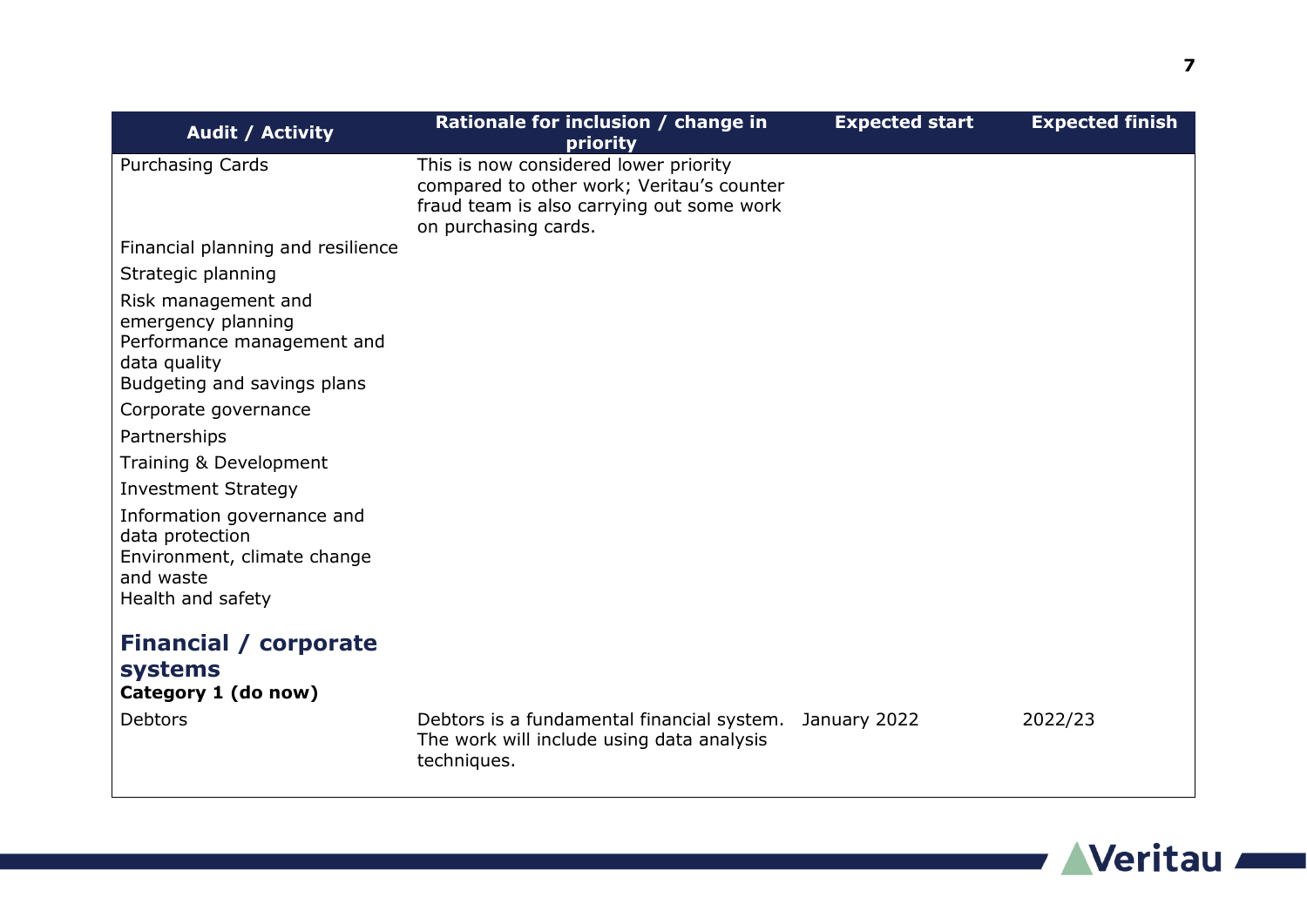| <b>Audit / Activity</b>                                                                                                | Rationale for inclusion / change in<br>priority                                                                                                         | <b>Expected start</b> | <b>Expected finish</b> |
|------------------------------------------------------------------------------------------------------------------------|---------------------------------------------------------------------------------------------------------------------------------------------------------|-----------------------|------------------------|
| <b>Purchasing Cards</b>                                                                                                | This is now considered lower priority<br>compared to other work; Veritau's counter<br>fraud team is also carrying out some work<br>on purchasing cards. |                       |                        |
| Financial planning and resilience                                                                                      |                                                                                                                                                         |                       |                        |
| Strategic planning                                                                                                     |                                                                                                                                                         |                       |                        |
| Risk management and<br>emergency planning<br>Performance management and<br>data quality<br>Budgeting and savings plans |                                                                                                                                                         |                       |                        |
| Corporate governance                                                                                                   |                                                                                                                                                         |                       |                        |
| Partnerships                                                                                                           |                                                                                                                                                         |                       |                        |
| Training & Development                                                                                                 |                                                                                                                                                         |                       |                        |
| <b>Investment Strategy</b>                                                                                             |                                                                                                                                                         |                       |                        |
| Information governance and<br>data protection<br>Environment, climate change<br>and waste<br>Health and safety         |                                                                                                                                                         |                       |                        |
| <b>Financial / corporate</b>                                                                                           |                                                                                                                                                         |                       |                        |
| <b>systems</b>                                                                                                         |                                                                                                                                                         |                       |                        |
| Category 1 (do now)                                                                                                    |                                                                                                                                                         |                       |                        |
| <b>Debtors</b>                                                                                                         | Debtors is a fundamental financial system. January 2022<br>The work will include using data analysis<br>techniques.                                     |                       | 2022/23                |

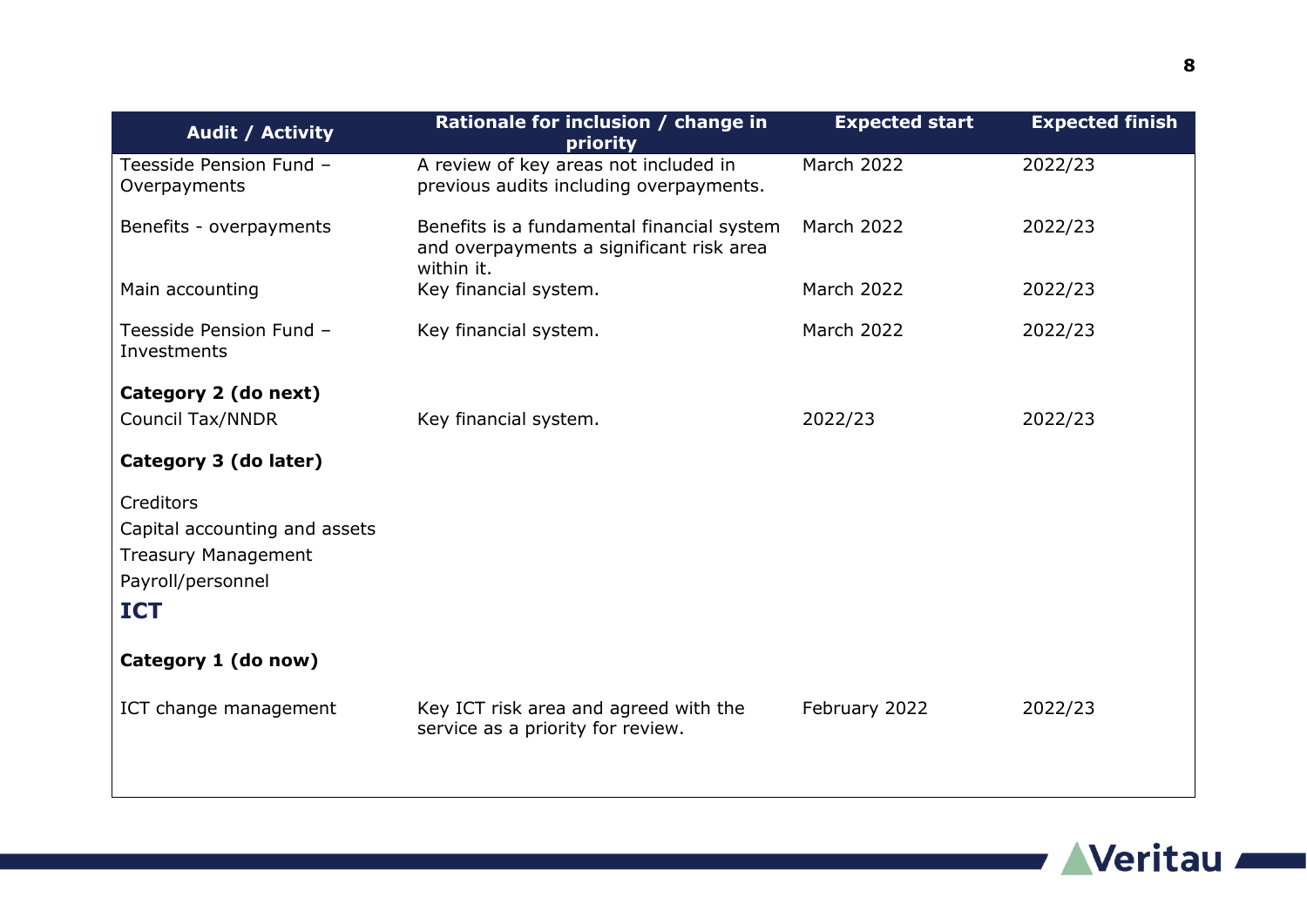| <b>Audit / Activity</b>                                                                                     | Rationale for inclusion / change in<br>priority                                                      | <b>Expected start</b> | <b>Expected finish</b> |
|-------------------------------------------------------------------------------------------------------------|------------------------------------------------------------------------------------------------------|-----------------------|------------------------|
| Teesside Pension Fund -<br>Overpayments                                                                     | A review of key areas not included in<br>previous audits including overpayments.                     | <b>March 2022</b>     | 2022/23                |
| Benefits - overpayments                                                                                     | Benefits is a fundamental financial system<br>and overpayments a significant risk area<br>within it. | March 2022            | 2022/23                |
| Main accounting                                                                                             | Key financial system.                                                                                | <b>March 2022</b>     | 2022/23                |
| Teesside Pension Fund -<br>Investments                                                                      | Key financial system.                                                                                | March 2022            | 2022/23                |
| Category 2 (do next)                                                                                        |                                                                                                      |                       |                        |
| <b>Council Tax/NNDR</b>                                                                                     | Key financial system.                                                                                | 2022/23               | 2022/23                |
| Category 3 (do later)                                                                                       |                                                                                                      |                       |                        |
| Creditors<br>Capital accounting and assets<br><b>Treasury Management</b><br>Payroll/personnel<br><b>ICT</b> |                                                                                                      |                       |                        |
| Category 1 (do now)                                                                                         |                                                                                                      |                       |                        |
| ICT change management                                                                                       | Key ICT risk area and agreed with the<br>service as a priority for review.                           | February 2022         | 2022/23                |

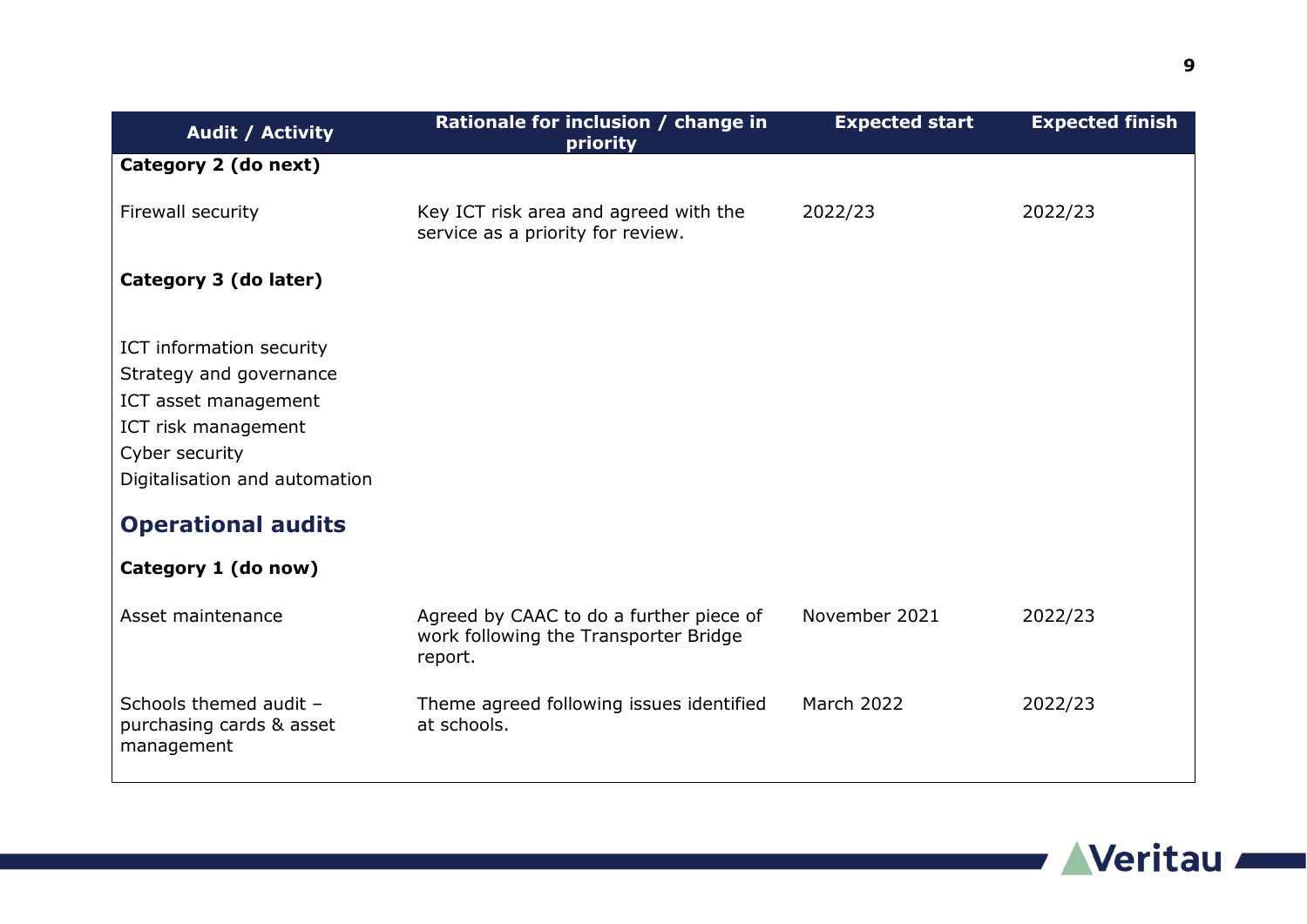| <b>Audit / Activity</b>                                                                                                                                                                                   | Rationale for inclusion / change in<br>priority                                             | <b>Expected start</b> | <b>Expected finish</b> |
|-----------------------------------------------------------------------------------------------------------------------------------------------------------------------------------------------------------|---------------------------------------------------------------------------------------------|-----------------------|------------------------|
| Category 2 (do next)                                                                                                                                                                                      |                                                                                             |                       |                        |
| Firewall security                                                                                                                                                                                         | Key ICT risk area and agreed with the<br>service as a priority for review.                  | 2022/23               | 2022/23                |
| Category 3 (do later)                                                                                                                                                                                     |                                                                                             |                       |                        |
| ICT information security<br>Strategy and governance<br>ICT asset management<br>ICT risk management<br>Cyber security<br>Digitalisation and automation<br><b>Operational audits</b><br>Category 1 (do now) |                                                                                             |                       |                        |
| Asset maintenance                                                                                                                                                                                         | Agreed by CAAC to do a further piece of<br>work following the Transporter Bridge<br>report. | November 2021         | 2022/23                |
| Schools themed audit -<br>purchasing cards & asset<br>management                                                                                                                                          | Theme agreed following issues identified<br>at schools.                                     | March 2022            | 2022/23                |

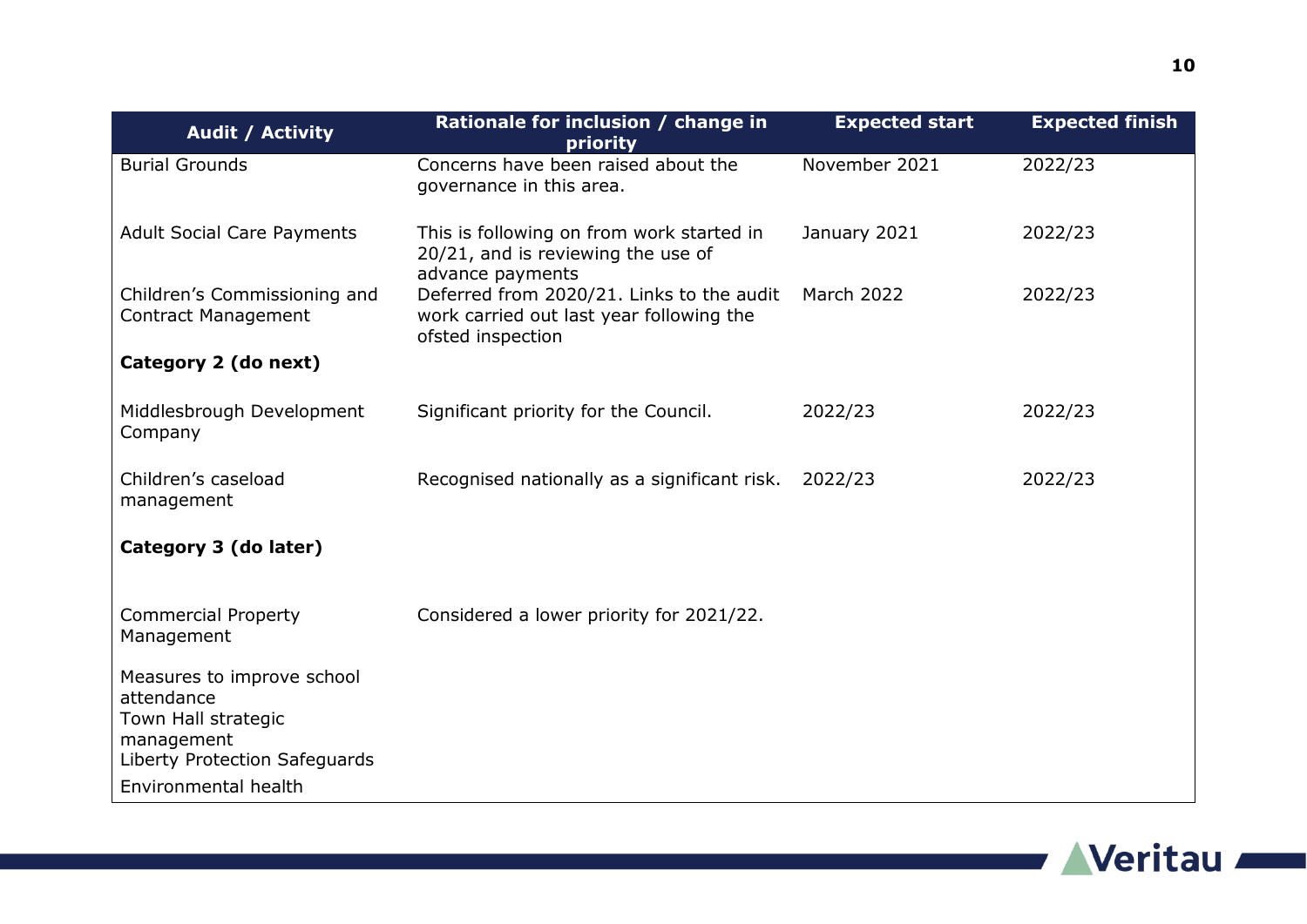| <b>Audit / Activity</b>                                         | Rationale for inclusion / change in<br>priority                                                            | <b>Expected start</b> | <b>Expected finish</b> |
|-----------------------------------------------------------------|------------------------------------------------------------------------------------------------------------|-----------------------|------------------------|
| <b>Burial Grounds</b>                                           | Concerns have been raised about the<br>governance in this area.                                            | November 2021         | 2022/23                |
| <b>Adult Social Care Payments</b>                               | This is following on from work started in<br>20/21, and is reviewing the use of<br>advance payments        | January 2021          | 2022/23                |
| Children's Commissioning and<br><b>Contract Management</b>      | Deferred from 2020/21. Links to the audit<br>work carried out last year following the<br>ofsted inspection | March 2022            | 2022/23                |
| Category 2 (do next)                                            |                                                                                                            |                       |                        |
| Middlesbrough Development<br>Company                            | Significant priority for the Council.                                                                      | 2022/23               | 2022/23                |
| Children's caseload<br>management                               | Recognised nationally as a significant risk.                                                               | 2022/23               | 2022/23                |
| Category 3 (do later)                                           |                                                                                                            |                       |                        |
| <b>Commercial Property</b><br>Management                        | Considered a lower priority for 2021/22.                                                                   |                       |                        |
| Measures to improve school<br>attendance<br>Town Hall strategic |                                                                                                            |                       |                        |
| management<br>Liberty Protection Safeguards                     |                                                                                                            |                       |                        |
| Environmental health                                            |                                                                                                            |                       |                        |



a sa kacamatan ing Kabupatèn Kabupatèn Kabupatèn Kabupatèn Kabupatèn Kabupatèn Kabupatèn Kabupatèn Kabupatèn K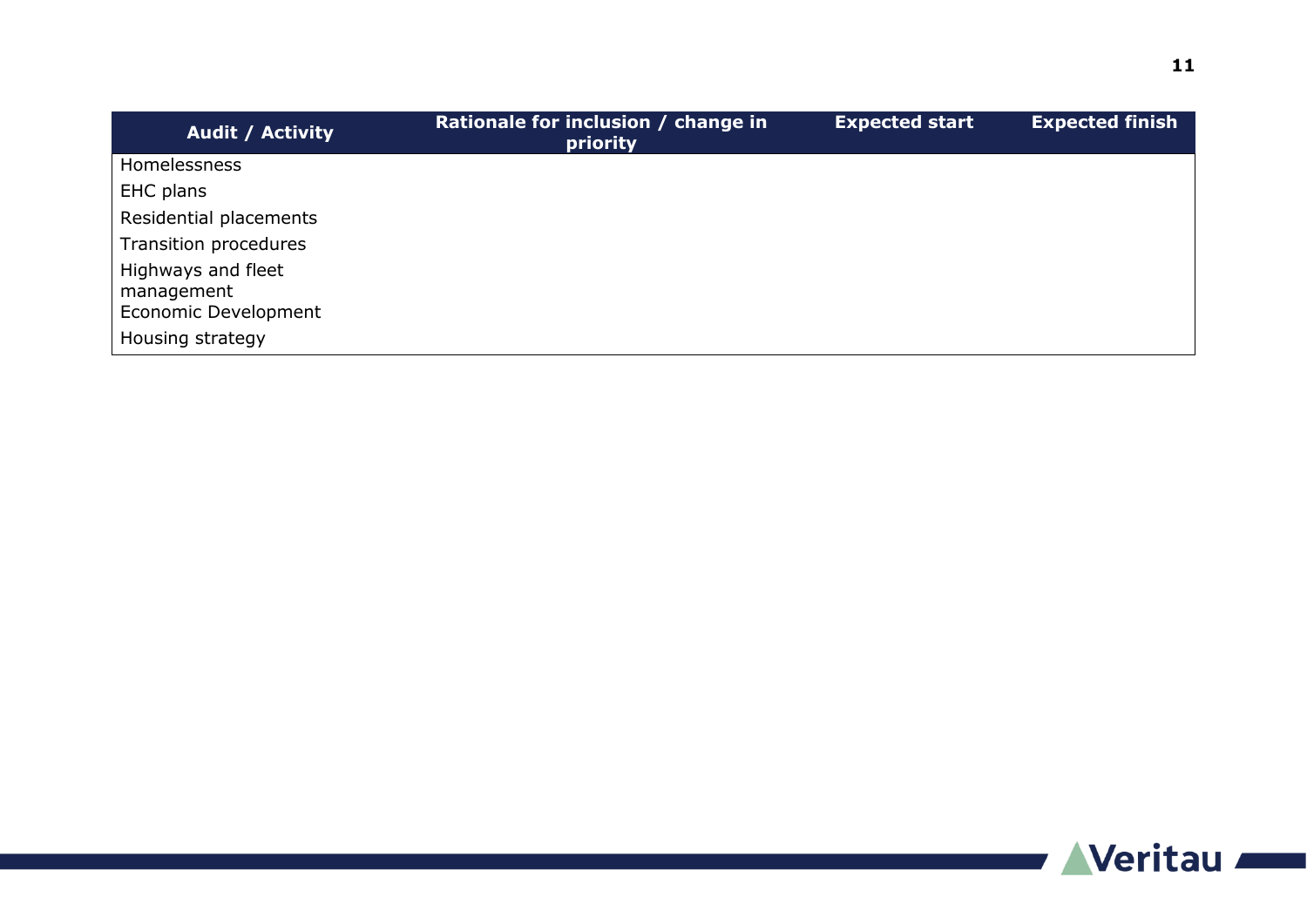| <b>Audit / Activity</b>          | Rationale for inclusion / change in<br>priority | <b>Expected start</b> | <b>Expected finish</b> |
|----------------------------------|-------------------------------------------------|-----------------------|------------------------|
| <b>Homelessness</b>              |                                                 |                       |                        |
| EHC plans                        |                                                 |                       |                        |
| Residential placements           |                                                 |                       |                        |
| Transition procedures            |                                                 |                       |                        |
| Highways and fleet<br>management |                                                 |                       |                        |
| Economic Development             |                                                 |                       |                        |
| Housing strategy                 |                                                 |                       |                        |

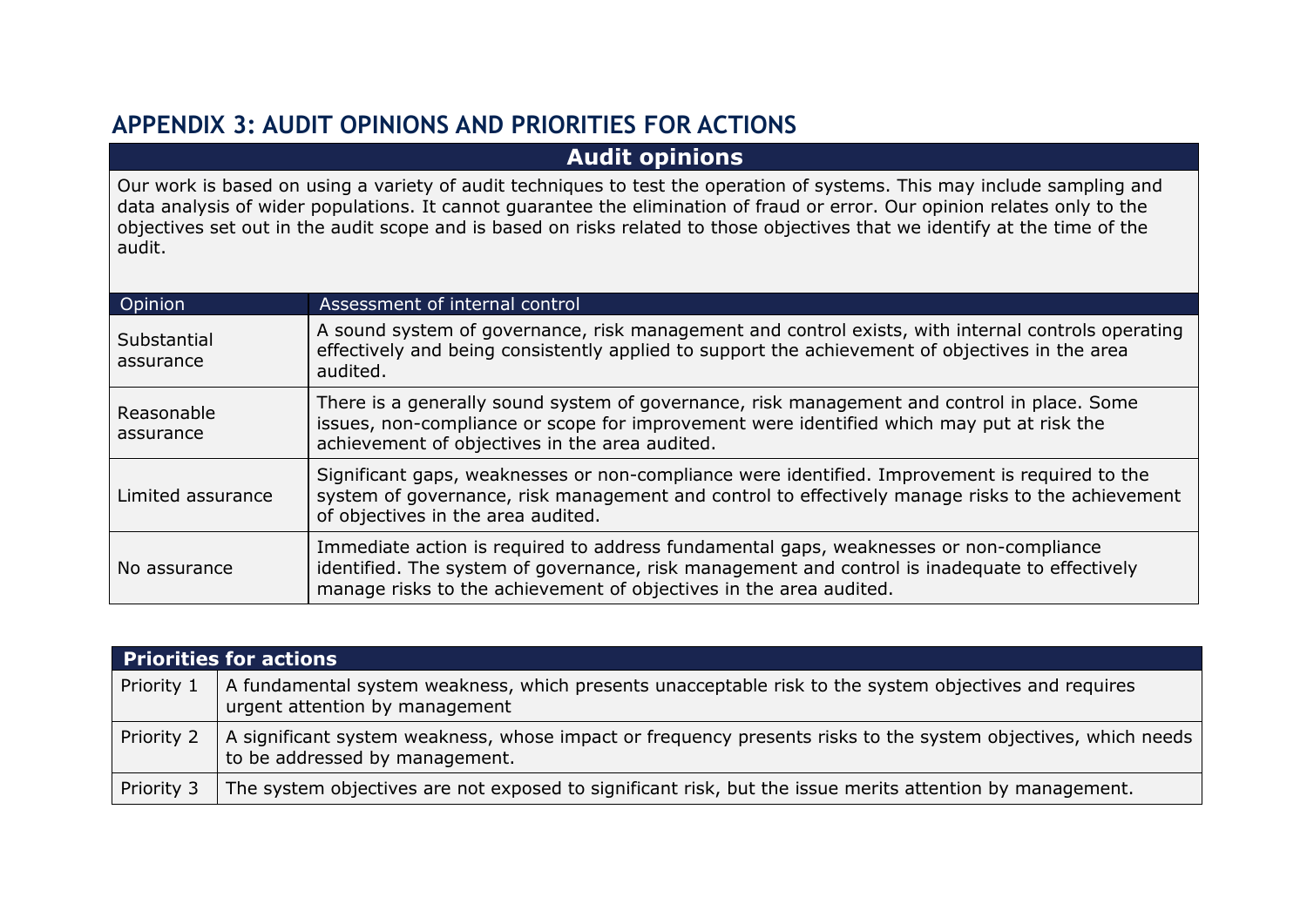## **APPENDIX 3: AUDIT OPINIONS AND PRIORITIES FOR ACTIONS**

#### **Audit opinions**

Our work is based on using a variety of audit techniques to test the operation of systems. This may include sampling and data analysis of wider populations. It cannot guarantee the elimination of fraud or error. Our opinion relates only to the objectives set out in the audit scope and is based on risks related to those objectives that we identify at the time of the audit.

| Opinion                  | Assessment of internal control                                                                                                                                                                                                                                 |
|--------------------------|----------------------------------------------------------------------------------------------------------------------------------------------------------------------------------------------------------------------------------------------------------------|
| Substantial<br>assurance | A sound system of governance, risk management and control exists, with internal controls operating<br>effectively and being consistently applied to support the achievement of objectives in the area<br>audited.                                              |
| Reasonable<br>assurance  | There is a generally sound system of governance, risk management and control in place. Some<br>issues, non-compliance or scope for improvement were identified which may put at risk the<br>achievement of objectives in the area audited.                     |
| Limited assurance        | Significant gaps, weaknesses or non-compliance were identified. Improvement is required to the<br>system of governance, risk management and control to effectively manage risks to the achievement<br>of objectives in the area audited.                       |
| No assurance             | Immediate action is required to address fundamental gaps, weaknesses or non-compliance<br>identified. The system of governance, risk management and control is inadequate to effectively<br>manage risks to the achievement of objectives in the area audited. |

|            | <b>Priorities for actions</b>                                                                                                                   |
|------------|-------------------------------------------------------------------------------------------------------------------------------------------------|
| Priority 1 | A fundamental system weakness, which presents unacceptable risk to the system objectives and requires<br>urgent attention by management         |
| Priority 2 | A significant system weakness, whose impact or frequency presents risks to the system objectives, which needs<br>to be addressed by management. |
| Priority 3 | The system objectives are not exposed to significant risk, but the issue merits attention by management.                                        |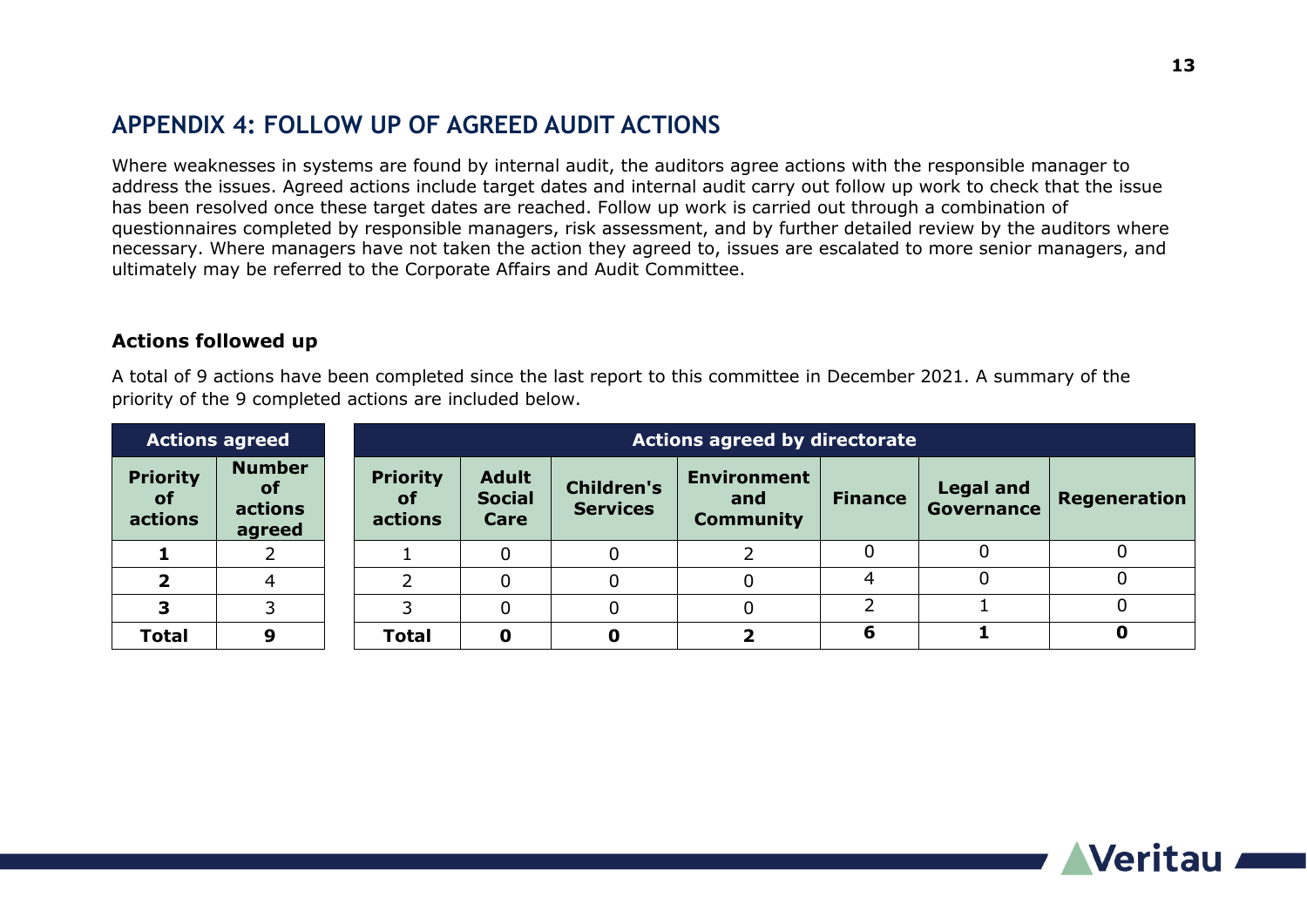### **APPENDIX 4: FOLLOW UP OF AGREED AUDIT ACTIONS**

Where weaknesses in systems are found by internal audit, the auditors agree actions with the responsible manager to address the issues. Agreed actions include target dates and internal audit carry out follow up work to check that the issue has been resolved once these target dates are reached. Follow up work is carried out through a combination of questionnaires completed by responsible managers, risk assessment, and by further detailed review by the auditors where necessary. Where managers have not taken the action they agreed to, issues are escalated to more senior managers, and ultimately may be referred to the Corporate Affairs and Audit Committee.

#### **Actions followed up**

A total of 9 actions have been completed since the last report to this committee in December 2021. A summary of the priority of the 9 completed actions are included below.

| <b>Actions agreed</b>                   |                                                 | <b>Actions agreed by directorate</b>    |                                       |                                      |                                               |                |                                |              |
|-----------------------------------------|-------------------------------------------------|-----------------------------------------|---------------------------------------|--------------------------------------|-----------------------------------------------|----------------|--------------------------------|--------------|
| <b>Priority</b><br><b>of</b><br>actions | <b>Number</b><br><b>of</b><br>actions<br>agreed | <b>Priority</b><br><b>of</b><br>actions | <b>Adult</b><br><b>Social</b><br>Care | <b>Children's</b><br><b>Services</b> | <b>Environment</b><br>and<br><b>Community</b> | <b>Finance</b> | <b>Legal and</b><br>Governance | Regeneration |
|                                         |                                                 |                                         |                                       |                                      |                                               |                |                                |              |
|                                         |                                                 |                                         |                                       |                                      |                                               |                |                                |              |
| ∍                                       |                                                 |                                         |                                       | 0                                    |                                               |                |                                | 0            |
| <b>Total</b>                            | 9                                               | <b>Total</b>                            |                                       | 0                                    |                                               |                |                                | 0            |

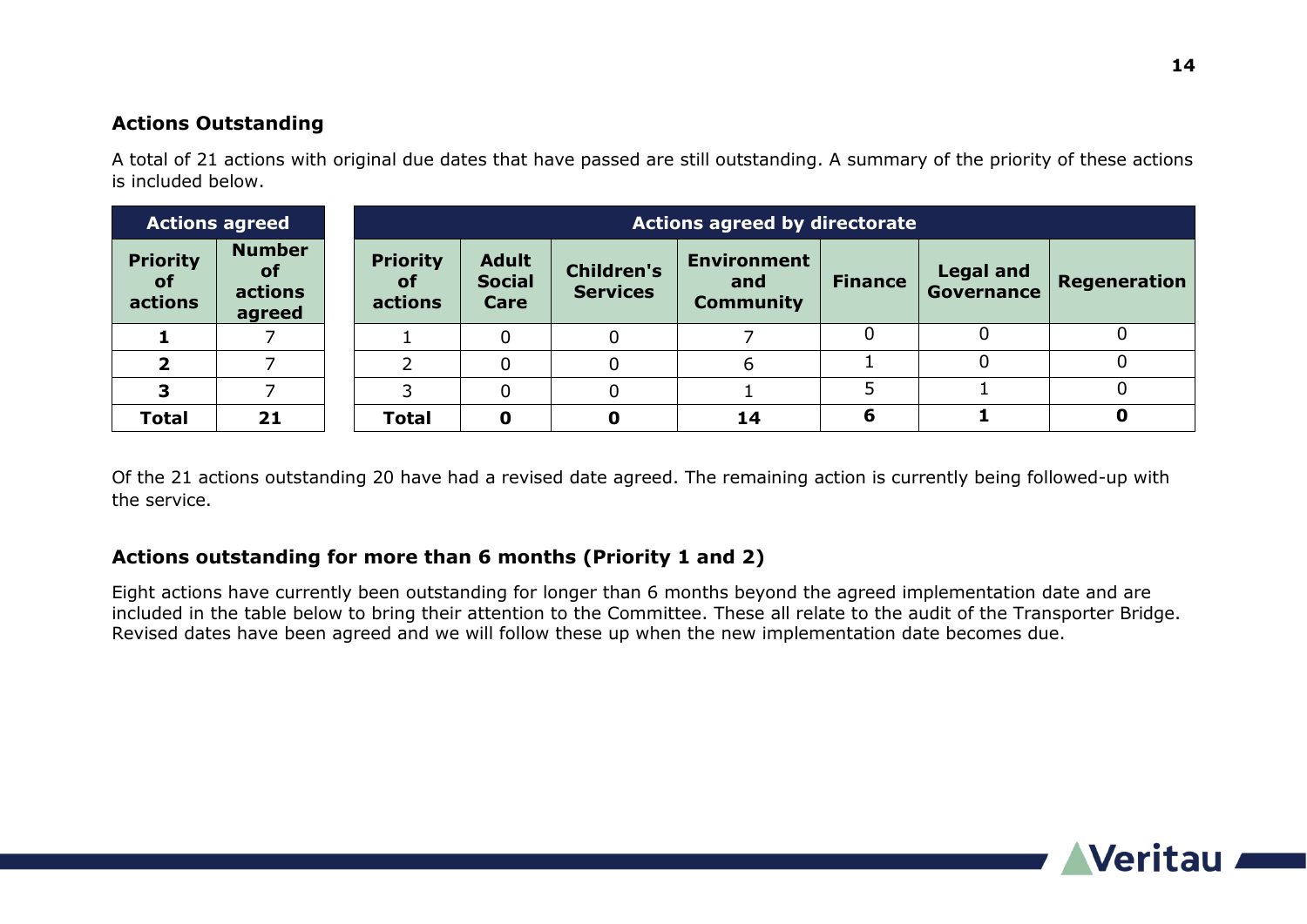#### **Actions Outstanding**

A total of 21 actions with original due dates that have passed are still outstanding. A summary of the priority of these actions is included below.

| <b>Actions agreed</b>                   |                                                 | <b>Actions agreed by directorate</b>    |                                       |                                      |                                               |                |                                |              |
|-----------------------------------------|-------------------------------------------------|-----------------------------------------|---------------------------------------|--------------------------------------|-----------------------------------------------|----------------|--------------------------------|--------------|
| <b>Priority</b><br><b>of</b><br>actions | <b>Number</b><br><b>of</b><br>actions<br>agreed | <b>Priority</b><br><b>of</b><br>actions | <b>Adult</b><br><b>Social</b><br>Care | <b>Children's</b><br><b>Services</b> | <b>Environment</b><br>and<br><b>Community</b> | <b>Finance</b> | <b>Legal and</b><br>Governance | Regeneration |
|                                         |                                                 |                                         |                                       |                                      |                                               |                |                                |              |
|                                         |                                                 |                                         |                                       | 0                                    | 6                                             |                |                                |              |
|                                         |                                                 |                                         |                                       | 0                                    |                                               |                |                                |              |
| <b>Total</b>                            | 21                                              | <b>Total</b>                            | 0                                     | 0                                    | 14                                            | 6              |                                |              |

Of the 21 actions outstanding 20 have had a revised date agreed. The remaining action is currently being followed-up with the service.

#### **Actions outstanding for more than 6 months (Priority 1 and 2)**

Eight actions have currently been outstanding for longer than 6 months beyond the agreed implementation date and are included in the table below to bring their attention to the Committee. These all relate to the audit of the Transporter Bridge. Revised dates have been agreed and we will follow these up when the new implementation date becomes due.

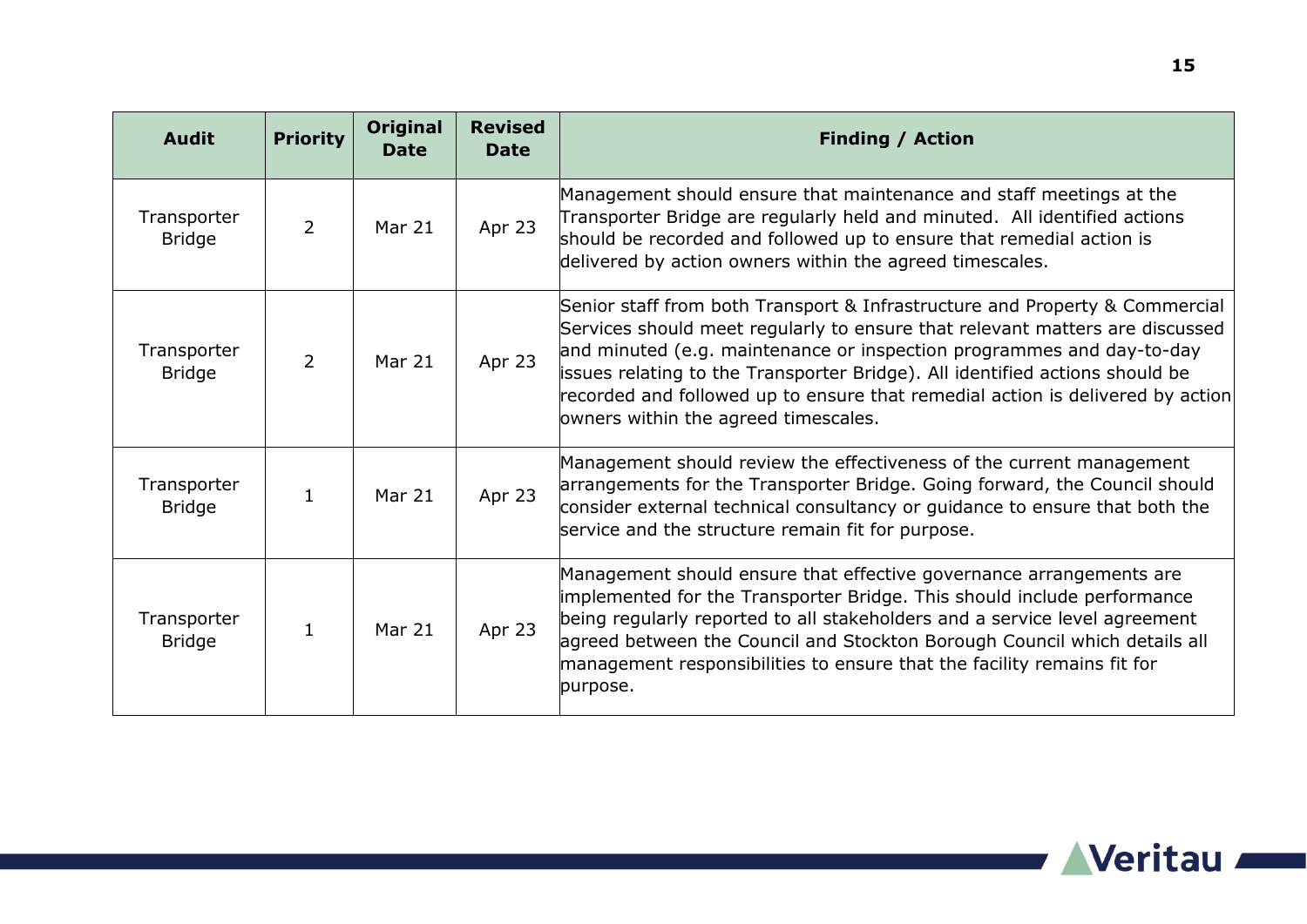| <b>Audit</b>                 | <b>Priority</b> | <b>Original</b><br><b>Date</b> | <b>Revised</b><br><b>Date</b> | <b>Finding / Action</b>                                                                                                                                                                                                                                                                                                                                                                                                                        |
|------------------------------|-----------------|--------------------------------|-------------------------------|------------------------------------------------------------------------------------------------------------------------------------------------------------------------------------------------------------------------------------------------------------------------------------------------------------------------------------------------------------------------------------------------------------------------------------------------|
| Transporter<br><b>Bridge</b> | $\overline{2}$  | Mar 21                         | Apr 23                        | Management should ensure that maintenance and staff meetings at the<br>Transporter Bridge are regularly held and minuted. All identified actions<br>should be recorded and followed up to ensure that remedial action is<br>delivered by action owners within the agreed timescales.                                                                                                                                                           |
| Transporter<br><b>Bridge</b> | $\overline{2}$  | Mar 21                         | Apr 23                        | Senior staff from both Transport & Infrastructure and Property & Commercial<br>Services should meet regularly to ensure that relevant matters are discussed<br>and minuted (e.g. maintenance or inspection programmes and day-to-day<br>issues relating to the Transporter Bridge). All identified actions should be<br>recorded and followed up to ensure that remedial action is delivered by action<br>owners within the agreed timescales. |
| Transporter<br><b>Bridge</b> | $\mathbf{1}$    | Mar 21                         | Apr 23                        | Management should review the effectiveness of the current management<br>arrangements for the Transporter Bridge. Going forward, the Council should<br>consider external technical consultancy or guidance to ensure that both the<br>service and the structure remain fit for purpose.                                                                                                                                                         |
| Transporter<br><b>Bridge</b> | $\mathbf{1}$    | Mar 21                         | Apr 23                        | Management should ensure that effective governance arrangements are<br>implemented for the Transporter Bridge. This should include performance<br>being regularly reported to all stakeholders and a service level agreement<br>agreed between the Council and Stockton Borough Council which details all<br>management responsibilities to ensure that the facility remains fit for<br>purpose.                                               |

a sa kacamatan ing Kabupatèn Kabupatèn Kabupatèn Kabupatèn Kabupatèn Kabupatèn Kabupatèn Kabupatèn Kabupatèn K

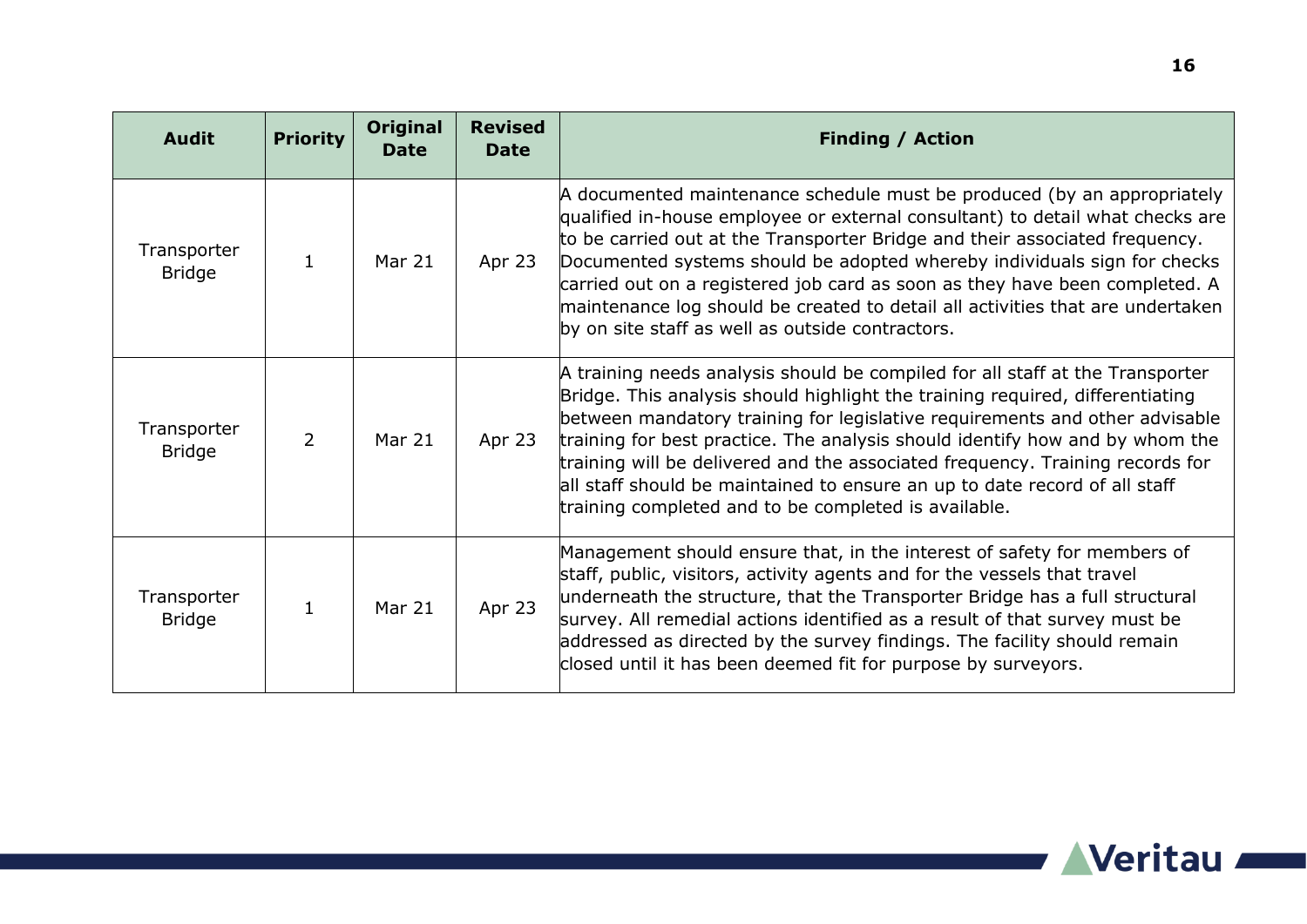| <b>Audit</b>                 | <b>Priority</b> | <b>Original</b><br><b>Date</b> | <b>Revised</b><br><b>Date</b> | <b>Finding / Action</b>                                                                                                                                                                                                                                                                                                                                                                                                                                                                                                                              |
|------------------------------|-----------------|--------------------------------|-------------------------------|------------------------------------------------------------------------------------------------------------------------------------------------------------------------------------------------------------------------------------------------------------------------------------------------------------------------------------------------------------------------------------------------------------------------------------------------------------------------------------------------------------------------------------------------------|
| Transporter<br><b>Bridge</b> | $\mathbf{1}$    | Mar 21                         | Apr 23                        | A documented maintenance schedule must be produced (by an appropriately<br>qualified in-house employee or external consultant) to detail what checks are<br>to be carried out at the Transporter Bridge and their associated frequency.<br>Documented systems should be adopted whereby individuals sign for checks<br>carried out on a registered job card as soon as they have been completed. A<br>maintenance log should be created to detail all activities that are undertaken<br>by on site staff as well as outside contractors.             |
| Transporter<br><b>Bridge</b> | $\overline{2}$  | Mar 21                         | Apr 23                        | A training needs analysis should be compiled for all staff at the Transporter<br>Bridge. This analysis should highlight the training required, differentiating<br>between mandatory training for legislative requirements and other advisable<br>training for best practice. The analysis should identify how and by whom the<br>training will be delivered and the associated frequency. Training records for<br>all staff should be maintained to ensure an up to date record of all staff<br>training completed and to be completed is available. |
| Transporter<br><b>Bridge</b> | $\mathbf{1}$    | Mar 21                         | Apr 23                        | Management should ensure that, in the interest of safety for members of<br>staff, public, visitors, activity agents and for the vessels that travel<br>underneath the structure, that the Transporter Bridge has a full structural<br>survey. All remedial actions identified as a result of that survey must be<br>addressed as directed by the survey findings. The facility should remain<br>closed until it has been deemed fit for purpose by surveyors.                                                                                        |



a sa kacamatan ing Kabupatèn Kabupatèn Kabupatèn Kabupatèn Kabupatèn Kabupatèn Kabupatèn Kabupatèn Kabupatèn K